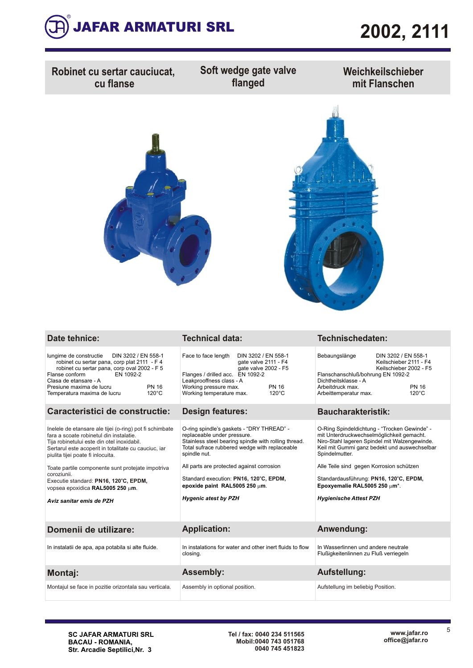

| Robinet cu sertar cauciucat,<br>cu flanse                                                                                                                                                                                                                                                                                                                                                                                  | Soft wedge gate valve<br>flanged                                                                                                                                                                                                                                                                                                                              | Weichkeilschieber<br>mit Flanschen                                                                                                                                                                                                                                                                                                                                  |  |  |  |  |  |  |
|----------------------------------------------------------------------------------------------------------------------------------------------------------------------------------------------------------------------------------------------------------------------------------------------------------------------------------------------------------------------------------------------------------------------------|---------------------------------------------------------------------------------------------------------------------------------------------------------------------------------------------------------------------------------------------------------------------------------------------------------------------------------------------------------------|---------------------------------------------------------------------------------------------------------------------------------------------------------------------------------------------------------------------------------------------------------------------------------------------------------------------------------------------------------------------|--|--|--|--|--|--|
|                                                                                                                                                                                                                                                                                                                                                                                                                            |                                                                                                                                                                                                                                                                                                                                                               |                                                                                                                                                                                                                                                                                                                                                                     |  |  |  |  |  |  |
| <b>Date tehnice:</b>                                                                                                                                                                                                                                                                                                                                                                                                       | <b>Technical data:</b>                                                                                                                                                                                                                                                                                                                                        | Technischedaten:                                                                                                                                                                                                                                                                                                                                                    |  |  |  |  |  |  |
| DIN 3202 / EN 558-1<br>lungime de constructie<br>robinet cu sertar pana, corp plat 2111 - F 4<br>robinet cu sertar pana, corp oval 2002 - F 5<br>Flanse conform<br>EN 1092-2<br>Clasa de etansare - A<br>Presiune maxima de lucru<br><b>PN 16</b><br>$120^{\circ}$ C<br>Temperatura maxima de lucru                                                                                                                        | Face to face length<br>DIN 3202 / EN 558-1<br>gate valve 2111 - F4<br>gate valve 2002 - F5<br>Flanges / drilled acc. EN 1092-2<br>Leakprooffness class - A<br>Working pressure max.<br><b>PN 16</b><br>$120^{\circ}$ C<br>Working temperature max.                                                                                                            | Bebaungslänge<br>DIN 3202 / EN 558-1<br>Keilschieber 2111 - F4<br>Keilschieber 2002 - F5<br>Flanschanschluß/bohrung EN 1092-2<br>Dichtheitsklasse - A<br>Arbeitdruck max.<br><b>PN 16</b><br>$120^{\circ}$ C<br>Arbeittemperatur max.                                                                                                                               |  |  |  |  |  |  |
| Caracteristici de constructie:                                                                                                                                                                                                                                                                                                                                                                                             | <b>Design features:</b>                                                                                                                                                                                                                                                                                                                                       | <b>Baucharakteristik:</b>                                                                                                                                                                                                                                                                                                                                           |  |  |  |  |  |  |
| Inelele de etansare ale tijei (o-ring) pot fi schimbate<br>fara a scoate robinetul din instalatie.<br>Tija robinetului este din otel inoxidabil.<br>Sertarul este acoperit in totalitate cu cauciuc, iar<br>piulita tijei poate fi inlocuita.<br>Toate partile componente sunt protejate impotriva<br>coroziunii.<br>Executie standard: PN16, 120°C, EPDM,<br>vopsea epoxidica RAL5005 250 µm.<br>Aviz sanitar emis de PZH | O-ring spindle's gaskets - "DRY THREAD" -<br>replaceable under pressure.<br>Stainless steel bearing spindle with rolling thread.<br>Total sufrace rubbered wedge with replaceable<br>spindle nut.<br>All parts are protected against corrosion<br>Standard execution: PN16, 120°C, EPDM,<br>epoxide paint RAL5005 250 $\mu$ m.<br><b>Hygenic atest by PZH</b> | O-Ring Spindeldichtung - "Trocken Gewinde" -<br>mit Unterdruckwechselmöglichkeit gemacht.<br>Niro-Stahl lageren Spindel mit Walzengewinde.<br>Keil mit Gummi ganz bedekt und auswechselbar<br>Spindelmutter.<br>Alle Teile sind gegen Korrosion schützen<br>Standardausführung: PN16, 120°C, EPDM,<br>Epoxyemalie RAL5005 250 µm*.<br><b>Hygienische Attest PZH</b> |  |  |  |  |  |  |
| Domenii de utilizare:                                                                                                                                                                                                                                                                                                                                                                                                      | <b>Application:</b>                                                                                                                                                                                                                                                                                                                                           | Anwendung:                                                                                                                                                                                                                                                                                                                                                          |  |  |  |  |  |  |
| In instalatii de apa, apa potabila si alte fluide.                                                                                                                                                                                                                                                                                                                                                                         | In instalations for water and other inert fluids to flow<br>closing.                                                                                                                                                                                                                                                                                          | In Wasserlinnen und andere neutrale<br>Flußigkeitenlinnen zu Fluß verriegeln                                                                                                                                                                                                                                                                                        |  |  |  |  |  |  |
| <b>Montaj:</b>                                                                                                                                                                                                                                                                                                                                                                                                             | <b>Assembly:</b>                                                                                                                                                                                                                                                                                                                                              | Aufstellung:                                                                                                                                                                                                                                                                                                                                                        |  |  |  |  |  |  |
| Montajul se face in pozitie orizontala sau verticala.                                                                                                                                                                                                                                                                                                                                                                      | Assembly in optional position.                                                                                                                                                                                                                                                                                                                                | Aufstellung im beliebig Position.                                                                                                                                                                                                                                                                                                                                   |  |  |  |  |  |  |
|                                                                                                                                                                                                                                                                                                                                                                                                                            |                                                                                                                                                                                                                                                                                                                                                               |                                                                                                                                                                                                                                                                                                                                                                     |  |  |  |  |  |  |

5